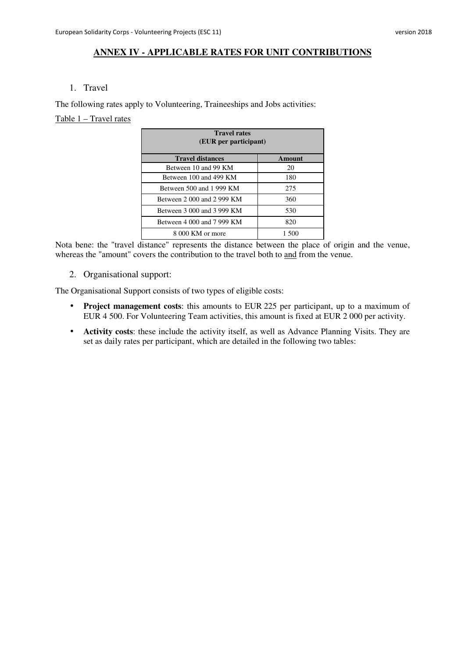### **ANNEX IV - APPLICABLE RATES FOR UNIT CONTRIBUTIONS**

#### 1. Travel

The following rates apply to Volunteering, Traineeships and Jobs activities:

#### Table 1 – Travel rates

| <b>Travel rates</b><br>(EUR per participant) |        |  |
|----------------------------------------------|--------|--|
| <b>Travel distances</b>                      | Amount |  |
| Between 10 and 99 KM                         | 20     |  |
| Between 100 and 499 KM                       | 180    |  |
| Between 500 and 1 999 KM                     | 275    |  |
| Between 2 000 and 2 999 KM                   | 360    |  |
| Between 3 000 and 3 999 KM                   | 530    |  |
| Between 4 000 and 7 999 KM                   | 820    |  |
| 8 000 KM or more                             | 1.500  |  |

Nota bene: the "travel distance" represents the distance between the place of origin and the venue, whereas the "amount" covers the contribution to the travel both to and from the venue.

2. Organisational support:

The Organisational Support consists of two types of eligible costs:

- **Project management costs**: this amounts to EUR 225 per participant, up to a maximum of EUR 4 500. For Volunteering Team activities, this amount is fixed at EUR 2 000 per activity.
- **Activity costs**: these include the activity itself, as well as Advance Planning Visits. They are set as daily rates per participant, which are detailed in the following two tables: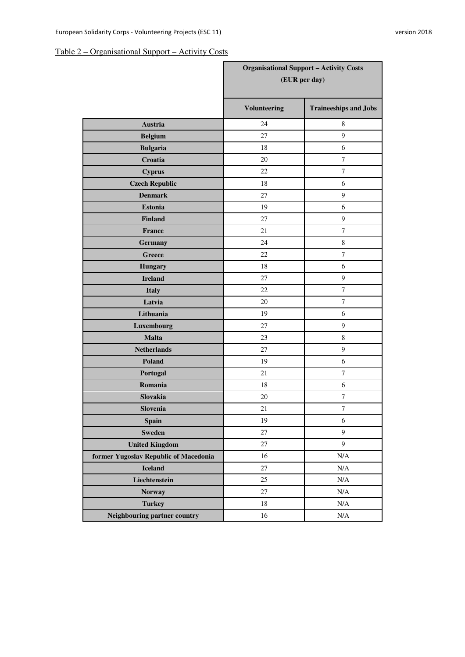# Table 2 – Organisational Support – Activity Costs

|                                       | <b>Organisational Support - Activity Costs</b><br>(EUR per day) |                              |
|---------------------------------------|-----------------------------------------------------------------|------------------------------|
|                                       | <b>Volunteering</b>                                             | <b>Traineeships and Jobs</b> |
| Austria                               | 24                                                              | 8                            |
| <b>Belgium</b>                        | 27                                                              | 9                            |
| <b>Bulgaria</b>                       | 18                                                              | 6                            |
| Croatia                               | 20                                                              | $\tau$                       |
| <b>Cyprus</b>                         | 22                                                              | $\overline{7}$               |
| <b>Czech Republic</b>                 | 18                                                              | 6                            |
| <b>Denmark</b>                        | 27                                                              | 9                            |
| <b>Estonia</b>                        | 19                                                              | 6                            |
| <b>Finland</b>                        | 27                                                              | $\boldsymbol{9}$             |
| France                                | 21                                                              | $\overline{7}$               |
| <b>Germany</b>                        | 24                                                              | $\,8\,$                      |
| <b>Greece</b>                         | 22                                                              | $\overline{7}$               |
| <b>Hungary</b>                        | 18                                                              | 6                            |
| <b>Ireland</b>                        | 27                                                              | $\boldsymbol{9}$             |
| <b>Italy</b>                          | 22                                                              | $\overline{7}$               |
| Latvia                                | 20                                                              | $\overline{7}$               |
| Lithuania                             | 19                                                              | 6                            |
| Luxembourg                            | 27                                                              | 9                            |
| <b>Malta</b>                          | 23                                                              | $\,8\,$                      |
| <b>Netherlands</b>                    | 27                                                              | 9                            |
| Poland                                | 19                                                              | 6                            |
| Portugal                              | 21                                                              | $\tau$                       |
| Romania                               | 18                                                              | 6                            |
| Slovakia                              | 20                                                              | $\tau$                       |
| Slovenia                              | 21                                                              | $\tau$                       |
| Spain                                 | 19                                                              | $\sqrt{6}$                   |
| <b>Sweden</b>                         | 27                                                              | $\mathbf{9}$                 |
| <b>United Kingdom</b>                 | 27                                                              | 9                            |
| former Yugoslav Republic of Macedonia | 16                                                              | $\rm N/A$                    |
| <b>Iceland</b>                        | $27\,$                                                          | N/A                          |
| Liechtenstein                         | 25                                                              | N/A                          |
| <b>Norway</b>                         | 27                                                              | $\rm N/A$                    |
| <b>Turkey</b>                         | 18                                                              | $\rm N/A$                    |
| Neighbouring partner country          | 16                                                              | $\rm N/A$                    |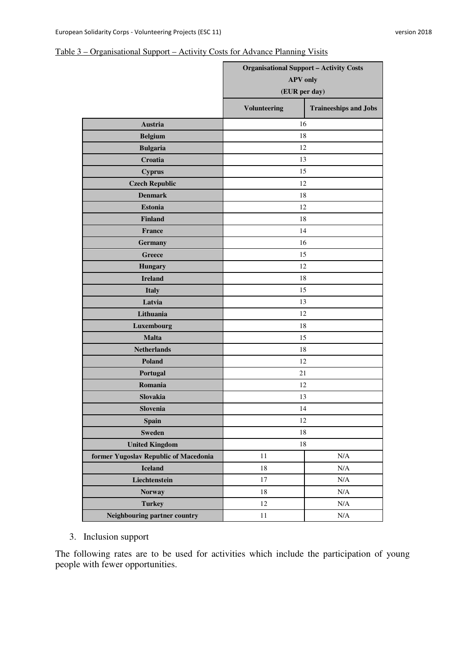### Table 3 – Organisational Support – Activity Costs for Advance Planning Visits

|                                       | <b>Organisational Support - Activity Costs</b><br><b>APV</b> only<br>(EUR per day) |                              |  |
|---------------------------------------|------------------------------------------------------------------------------------|------------------------------|--|
|                                       | <b>Volunteering</b>                                                                | <b>Traineeships and Jobs</b> |  |
| Austria                               | 16                                                                                 |                              |  |
| <b>Belgium</b>                        | 18                                                                                 |                              |  |
| <b>Bulgaria</b>                       | 12                                                                                 |                              |  |
| Croatia                               |                                                                                    | 13                           |  |
| <b>Cyprus</b>                         | 15                                                                                 |                              |  |
| <b>Czech Republic</b>                 | 12                                                                                 |                              |  |
| <b>Denmark</b>                        | 18                                                                                 |                              |  |
| <b>Estonia</b>                        | 12                                                                                 |                              |  |
| <b>Finland</b>                        | 18                                                                                 |                              |  |
| <b>France</b>                         | 14                                                                                 |                              |  |
| <b>Germany</b>                        | 16                                                                                 |                              |  |
| <b>Greece</b>                         | 15                                                                                 |                              |  |
| <b>Hungary</b>                        | 12                                                                                 |                              |  |
| <b>Ireland</b>                        | 18                                                                                 |                              |  |
| <b>Italy</b>                          | 15                                                                                 |                              |  |
| Latvia                                | 13                                                                                 |                              |  |
| Lithuania                             | 12                                                                                 |                              |  |
| Luxembourg                            | 18                                                                                 |                              |  |
| <b>Malta</b>                          | 15                                                                                 |                              |  |
| <b>Netherlands</b>                    | 18                                                                                 |                              |  |
| Poland                                | 12                                                                                 |                              |  |
| Portugal                              | 21                                                                                 |                              |  |
| Romania                               | 12                                                                                 |                              |  |
| <b>Slovakia</b>                       | 13                                                                                 |                              |  |
| Slovenia                              | 14                                                                                 |                              |  |
| <b>Spain</b>                          | 12                                                                                 |                              |  |
| <b>Sweden</b>                         | 18                                                                                 |                              |  |
| <b>United Kingdom</b>                 | 18                                                                                 |                              |  |
| former Yugoslav Republic of Macedonia | 11                                                                                 | N/A                          |  |
| <b>Iceland</b>                        | 18                                                                                 | N/A                          |  |
| Liechtenstein                         | $17\,$                                                                             | $\rm N/A$                    |  |
| <b>Norway</b>                         | 18                                                                                 | $\rm N/A$                    |  |
| <b>Turkey</b>                         | 12                                                                                 | $\rm N/A$                    |  |
| Neighbouring partner country          | $11\,$                                                                             | $\rm N/A$                    |  |

3. Inclusion support

The following rates are to be used for activities which include the participation of young people with fewer opportunities.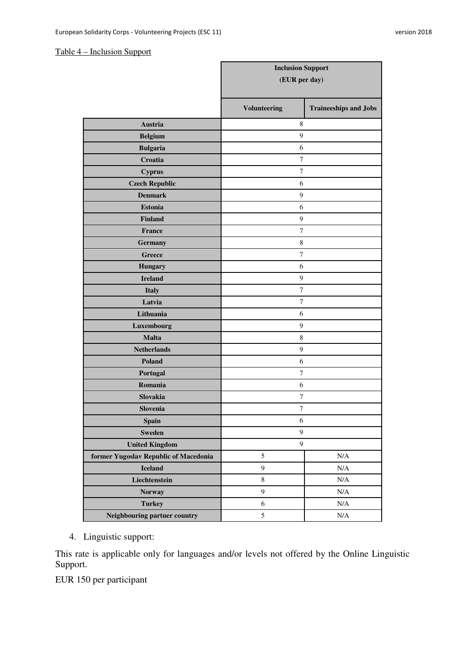### Table 4 – Inclusion Support

|                                       | <b>Inclusion Support</b><br>(EUR per day) |                              |
|---------------------------------------|-------------------------------------------|------------------------------|
|                                       |                                           |                              |
|                                       | <b>Volunteering</b>                       | <b>Traineeships and Jobs</b> |
| <b>Austria</b>                        | 8                                         |                              |
| <b>Belgium</b>                        | 9                                         |                              |
| <b>Bulgaria</b>                       | 6                                         |                              |
| Croatia                               | $\tau$                                    |                              |
| <b>Cyprus</b>                         | $\tau$                                    |                              |
| <b>Czech Republic</b>                 | 6                                         |                              |
| <b>Denmark</b>                        | 9                                         |                              |
| <b>Estonia</b>                        | 6                                         |                              |
| <b>Finland</b>                        | 9                                         |                              |
| France                                | 7                                         |                              |
| <b>Germany</b>                        | $\,$ 8 $\,$                               |                              |
| <b>Greece</b>                         | $\tau$                                    |                              |
| <b>Hungary</b>                        | 6                                         |                              |
| <b>Ireland</b>                        | 9                                         |                              |
| <b>Italy</b>                          | $\tau$                                    |                              |
| Latvia                                | $\tau$                                    |                              |
| Lithuania                             | 6                                         |                              |
| Luxembourg                            | $\mathbf{9}$                              |                              |
| <b>Malta</b>                          | $\,$ 8 $\,$                               |                              |
| <b>Netherlands</b>                    | 9                                         |                              |
| Poland                                | 6                                         |                              |
| Portugal                              | $\boldsymbol{7}$                          |                              |
| Romania                               | 6                                         |                              |
| Slovakia                              | 7                                         |                              |
| <b>Slovenia</b>                       | 7                                         |                              |
| <b>Spain</b>                          | $\sqrt{6}$                                |                              |
| <b>Sweden</b>                         | $\boldsymbol{9}$                          |                              |
| <b>United Kingdom</b>                 | $\overline{9}$                            |                              |
| former Yugoslav Republic of Macedonia | 5                                         | $\rm N/A$                    |
| <b>Iceland</b>                        | 9                                         | $\rm N/A$                    |
| Liechtenstein                         | $\,8\,$                                   | $\rm N/A$                    |
| <b>Norway</b>                         | 9                                         | $\rm N/A$                    |
| <b>Turkey</b>                         | 6                                         | $\rm N/A$                    |
| Neighbouring partner country          | 5                                         | $\rm N/A$                    |

4. Linguistic support:

This rate is applicable only for languages and/or levels not offered by the Online Linguistic Support.

EUR 150 per participant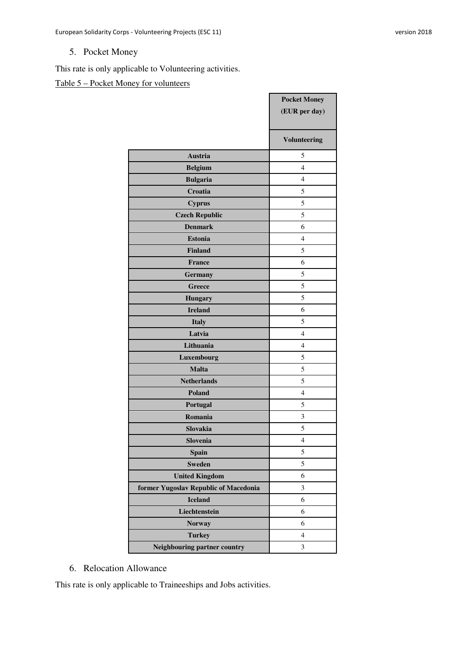# 5. Pocket Money

This rate is only applicable to Volunteering activities.

# Table 5 – Pocket Money for volunteers

|                                       | <b>Pocket Money</b><br>(EUR per day) |
|---------------------------------------|--------------------------------------|
|                                       | <b>Volunteering</b>                  |
| <b>Austria</b>                        | 5                                    |
| <b>Belgium</b>                        | $\overline{4}$                       |
| <b>Bulgaria</b>                       | $\overline{4}$                       |
| Croatia                               | 5                                    |
| <b>Cyprus</b>                         | 5                                    |
| <b>Czech Republic</b>                 | 5                                    |
| <b>Denmark</b>                        | 6                                    |
| <b>Estonia</b>                        | $\overline{4}$                       |
| <b>Finland</b>                        | 5                                    |
| <b>France</b>                         | 6                                    |
| <b>Germany</b>                        | 5                                    |
| <b>Greece</b>                         | 5                                    |
| <b>Hungary</b>                        | 5                                    |
| <b>Ireland</b>                        | 6                                    |
| <b>Italy</b>                          | 5                                    |
| Latvia                                | $\overline{4}$                       |
| Lithuania                             | $\overline{4}$                       |
| Luxembourg                            | 5                                    |
| <b>Malta</b>                          | 5                                    |
| <b>Netherlands</b>                    | 5                                    |
| Poland                                | $\overline{4}$                       |
| Portugal                              | 5                                    |
| Romania                               | 3                                    |
| Slovakia                              | 5                                    |
| Slovenia                              | $\overline{4}$                       |
| <b>Spain</b>                          | 5                                    |
| <b>Sweden</b>                         | 5                                    |
| <b>United Kingdom</b>                 | 6                                    |
| former Yugoslav Republic of Macedonia | 3                                    |
| <b>Iceland</b>                        | 6                                    |
| Liechtenstein                         | 6                                    |
| <b>Norway</b>                         | 6                                    |
| <b>Turkey</b>                         | $\overline{4}$                       |
| Neighbouring partner country          | 3                                    |

### 6. Relocation Allowance

This rate is only applicable to Traineeships and Jobs activities.